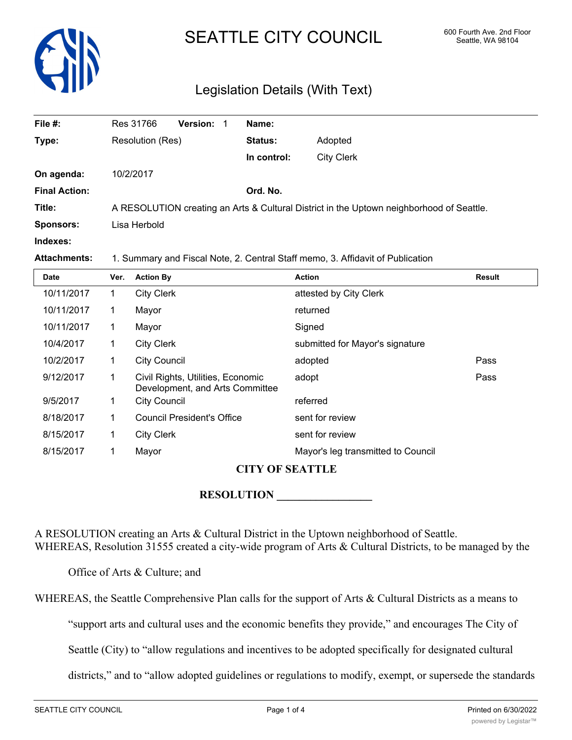

# SEATTLE CITY COUNCIL 600 Fourth Ave. 2nd Floor

## Legislation Details (With Text)

| File #:              | Res 31766        | <b>Version:</b> | Name:       |                                                                                          |
|----------------------|------------------|-----------------|-------------|------------------------------------------------------------------------------------------|
| Type:                | Resolution (Res) |                 | Status:     | Adopted                                                                                  |
|                      |                  |                 | In control: | <b>City Clerk</b>                                                                        |
| On agenda:           | 10/2/2017        |                 |             |                                                                                          |
| <b>Final Action:</b> |                  |                 | Ord. No.    |                                                                                          |
| Title:               |                  |                 |             | A RESOLUTION creating an Arts & Cultural District in the Uptown neighborhood of Seattle. |
| <b>Sponsors:</b>     | Lisa Herbold     |                 |             |                                                                                          |
| Indexes:             |                  |                 |             |                                                                                          |

**Attachments:** 1. Summary and Fiscal Note, 2. Central Staff memo, 3. Affidavit of Publication

| <b>Date</b> | Ver. | <b>Action By</b>                                                     | <b>Action</b>                      | <b>Result</b> |
|-------------|------|----------------------------------------------------------------------|------------------------------------|---------------|
| 10/11/2017  |      | <b>City Clerk</b>                                                    | attested by City Clerk             |               |
| 10/11/2017  | 1    | Mayor                                                                | returned                           |               |
| 10/11/2017  | 1    | Mayor                                                                | Signed                             |               |
| 10/4/2017   | 1    | <b>City Clerk</b>                                                    | submitted for Mayor's signature    |               |
| 10/2/2017   | 1    | <b>City Council</b>                                                  | adopted                            | Pass          |
| 9/12/2017   |      | Civil Rights, Utilities, Economic<br>Development, and Arts Committee | adopt                              | Pass          |
| 9/5/2017    | 1    | <b>City Council</b>                                                  | referred                           |               |
| 8/18/2017   |      | Council President's Office                                           | sent for review                    |               |
| 8/15/2017   | 1    | <b>City Clerk</b>                                                    | sent for review                    |               |
| 8/15/2017   |      | Mayor                                                                | Mayor's leg transmitted to Council |               |

### **CITY OF SEATTLE**

#### **RESOLUTION \_\_\_\_\_\_\_\_\_\_\_\_\_\_\_\_\_**

A RESOLUTION creating an Arts & Cultural District in the Uptown neighborhood of Seattle. WHEREAS, Resolution 31555 created a city-wide program of Arts & Cultural Districts, to be managed by the

Office of Arts & Culture; and

WHEREAS, the Seattle Comprehensive Plan calls for the support of Arts & Cultural Districts as a means to

"support arts and cultural uses and the economic benefits they provide," and encourages The City of

Seattle (City) to "allow regulations and incentives to be adopted specifically for designated cultural

districts," and to "allow adopted guidelines or regulations to modify, exempt, or supersede the standards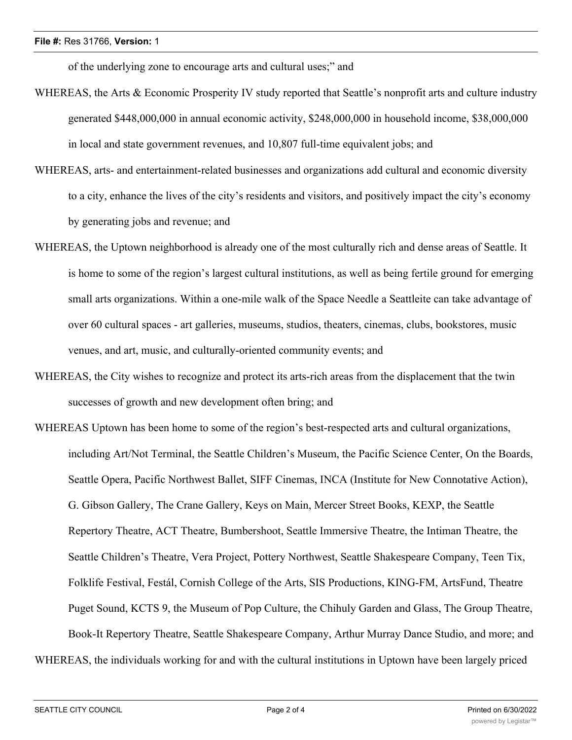of the underlying zone to encourage arts and cultural uses;" and

- WHEREAS, the Arts & Economic Prosperity IV study reported that Seattle's nonprofit arts and culture industry generated \$448,000,000 in annual economic activity, \$248,000,000 in household income, \$38,000,000 in local and state government revenues, and 10,807 full-time equivalent jobs; and
- WHEREAS, arts- and entertainment-related businesses and organizations add cultural and economic diversity to a city, enhance the lives of the city's residents and visitors, and positively impact the city's economy by generating jobs and revenue; and
- WHEREAS, the Uptown neighborhood is already one of the most culturally rich and dense areas of Seattle. It is home to some of the region's largest cultural institutions, as well as being fertile ground for emerging small arts organizations. Within a one-mile walk of the Space Needle a Seattleite can take advantage of over 60 cultural spaces - art galleries, museums, studios, theaters, cinemas, clubs, bookstores, music venues, and art, music, and culturally-oriented community events; and
- WHEREAS, the City wishes to recognize and protect its arts-rich areas from the displacement that the twin successes of growth and new development often bring; and
- WHEREAS Uptown has been home to some of the region's best-respected arts and cultural organizations, including Art/Not Terminal, the Seattle Children's Museum, the Pacific Science Center, On the Boards, Seattle Opera, Pacific Northwest Ballet, SIFF Cinemas, INCA (Institute for New Connotative Action), G. Gibson Gallery, The Crane Gallery, Keys on Main, Mercer Street Books, KEXP, the Seattle Repertory Theatre, ACT Theatre, Bumbershoot, Seattle Immersive Theatre, the Intiman Theatre, the Seattle Children's Theatre, Vera Project, Pottery Northwest, Seattle Shakespeare Company, Teen Tix, Folklife Festival, Festál, Cornish College of the Arts, SIS Productions, KING-FM, ArtsFund, Theatre Puget Sound, KCTS 9, the Museum of Pop Culture, the Chihuly Garden and Glass, The Group Theatre, Book-It Repertory Theatre, Seattle Shakespeare Company, Arthur Murray Dance Studio, and more; and WHEREAS, the individuals working for and with the cultural institutions in Uptown have been largely priced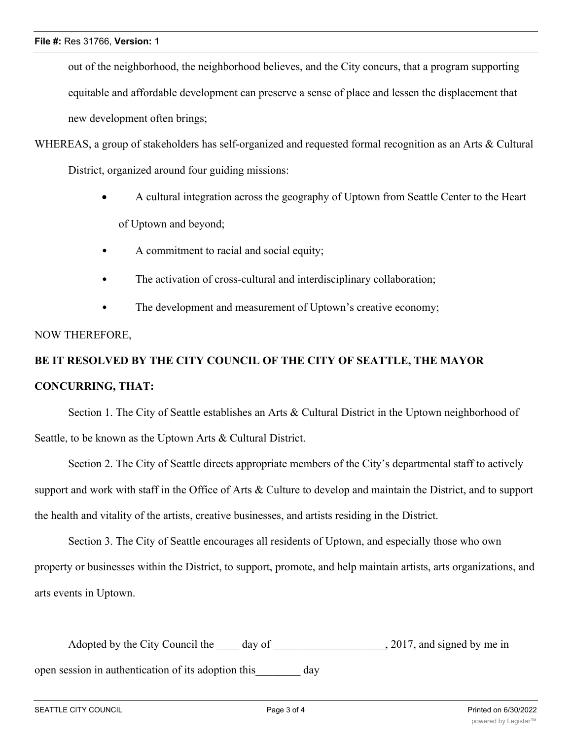out of the neighborhood, the neighborhood believes, and the City concurs, that a program supporting equitable and affordable development can preserve a sense of place and lessen the displacement that new development often brings;

- WHEREAS, a group of stakeholders has self-organized and requested formal recognition as an Arts & Cultural District, organized around four guiding missions:
	- · A cultural integration across the geography of Uptown from Seattle Center to the Heart of Uptown and beyond;
	- A commitment to racial and social equity;
	- The activation of cross-cultural and interdisciplinary collaboration;
	- The development and measurement of Uptown's creative economy;

### NOW THEREFORE,

# **BE IT RESOLVED BY THE CITY COUNCIL OF THE CITY OF SEATTLE, THE MAYOR CONCURRING, THAT:**

Section 1. The City of Seattle establishes an Arts & Cultural District in the Uptown neighborhood of Seattle, to be known as the Uptown Arts & Cultural District.

Section 2. The City of Seattle directs appropriate members of the City's departmental staff to actively support and work with staff in the Office of Arts & Culture to develop and maintain the District, and to support the health and vitality of the artists, creative businesses, and artists residing in the District.

Section 3. The City of Seattle encourages all residents of Uptown, and especially those who own property or businesses within the District, to support, promote, and help maintain artists, arts organizations, and arts events in Uptown.

Adopted by the City Council the day of  $\qquad \qquad$ , 2017, and signed by me in open session in authentication of its adoption this day